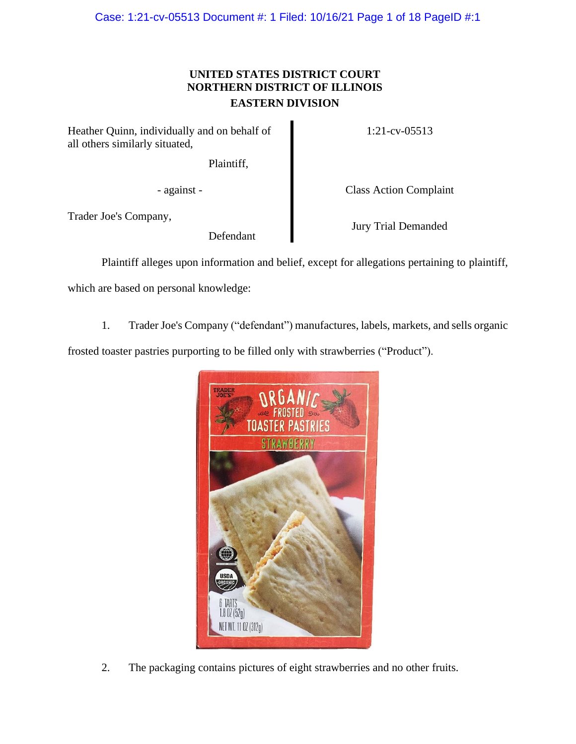# **UNITED STATES DISTRICT COURT NORTHERN DISTRICT OF ILLINOIS EASTERN DIVISION**

Heather Quinn, individually and on behalf of all others similarly situated,

Plaintiff,

Trader Joe's Company,

Defendant

1:21-cv-05513

- against - Class Action Complaint

Jury Trial Demanded

Plaintiff alleges upon information and belief, except for allegations pertaining to plaintiff,

which are based on personal knowledge:

1. Trader Joe's Company ("defendant") manufactures, labels, markets, and sells organic

frosted toaster pastries purporting to be filled only with strawberries ("Product").



2. The packaging contains pictures of eight strawberries and no other fruits.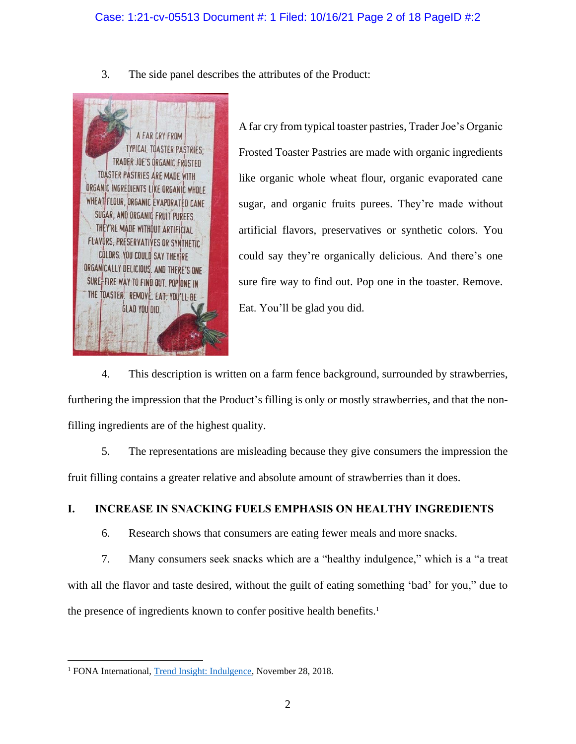3. The side panel describes the attributes of the Product:



A far cry from typical toaster pastries, Trader Joe's Organic Frosted Toaster Pastries are made with organic ingredients like organic whole wheat flour, organic evaporated cane sugar, and organic fruits purees. They're made without artificial flavors, preservatives or synthetic colors. You could say they're organically delicious. And there's one sure fire way to find out. Pop one in the toaster. Remove. Eat. You'll be glad you did.

4. This description is written on a farm fence background, surrounded by strawberries, furthering the impression that the Product's filling is only or mostly strawberries, and that the nonfilling ingredients are of the highest quality.

5. The representations are misleading because they give consumers the impression the fruit filling contains a greater relative and absolute amount of strawberries than it does.

# **I. INCREASE IN SNACKING FUELS EMPHASIS ON HEALTHY INGREDIENTS**

6. Research shows that consumers are eating fewer meals and more snacks.

7. Many consumers seek snacks which are a "healthy indulgence," which is a "a treat with all the flavor and taste desired, without the guilt of eating something 'bad' for you," due to the presence of ingredients known to confer positive health benefits.<sup>1</sup>

<sup>&</sup>lt;sup>1</sup> FONA International, Trend Insight: Indulgence, November 28, 2018.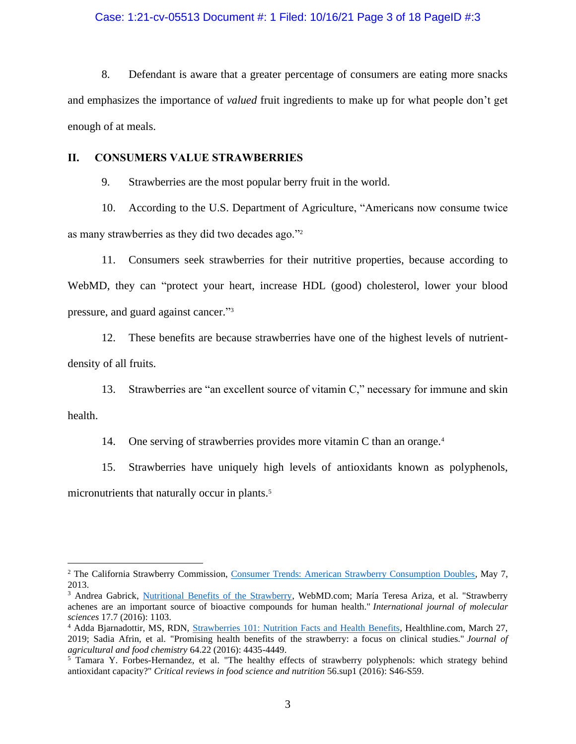# Case: 1:21-cv-05513 Document #: 1 Filed: 10/16/21 Page 3 of 18 PageID #:3

8. Defendant is aware that a greater percentage of consumers are eating more snacks and emphasizes the importance of *valued* fruit ingredients to make up for what people don't get enough of at meals.

# **II. CONSUMERS VALUE STRAWBERRIES**

9. Strawberries are the most popular berry fruit in the world.

10. According to the U.S. Department of Agriculture, "Americans now consume twice as many strawberries as they did two decades ago."<sup>2</sup>

11. Consumers seek strawberries for their nutritive properties, because according to WebMD, they can "protect your heart, increase HDL (good) cholesterol, lower your blood pressure, and guard against cancer."<sup>3</sup>

12. These benefits are because strawberries have one of the highest levels of nutrientdensity of all fruits.

13. Strawberries are "an excellent source of vitamin C," necessary for immune and skin

health.

14. One serving of strawberries provides more vitamin C than an orange.<sup>4</sup>

15. Strawberries have uniquely high levels of antioxidants known as polyphenols,

micronutrients that naturally occur in plants. 5

<sup>&</sup>lt;sup>2</sup> The California Strawberry Commission, Consumer Trends: American Strawberry Consumption Doubles, May 7, 2013.

<sup>&</sup>lt;sup>3</sup> Andrea Gabrick, Nutritional Benefits of the Strawberry, WebMD.com; María Teresa Ariza, et al. "Strawberry achenes are an important source of bioactive compounds for human health." *International journal of molecular sciences* 17.7 (2016): 1103.

<sup>4</sup> Adda Bjarnadottir, MS, RDN, Strawberries 101: Nutrition Facts and Health Benefits, Healthline.com, March 27, 2019; Sadia Afrin, et al. "Promising health benefits of the strawberry: a focus on clinical studies." *Journal of agricultural and food chemistry* 64.22 (2016): 4435-4449.

<sup>&</sup>lt;sup>5</sup> Tamara Y. Forbes-Hernandez, et al. "The healthy effects of strawberry polyphenols: which strategy behind antioxidant capacity?" *Critical reviews in food science and nutrition* 56.sup1 (2016): S46-S59.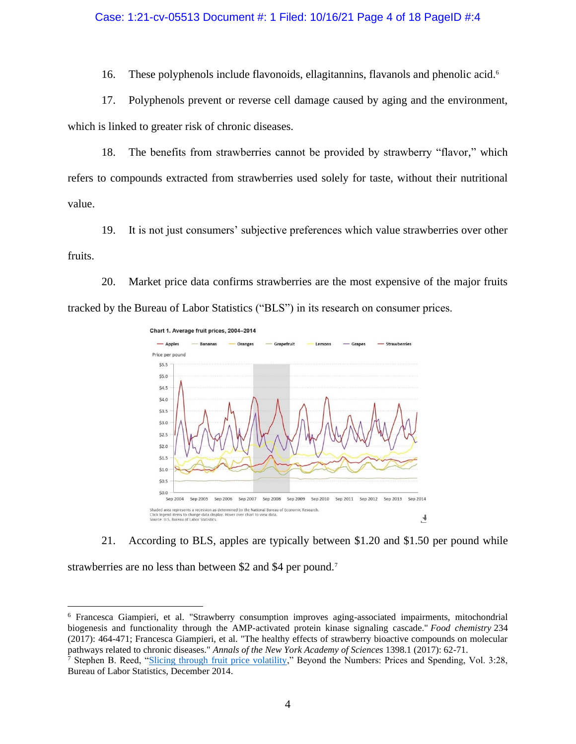# Case: 1:21-cv-05513 Document #: 1 Filed: 10/16/21 Page 4 of 18 PageID #:4

16. These polyphenols include flavonoids, ellagitannins, flavanols and phenolic acid. 6

17. Polyphenols prevent or reverse cell damage caused by aging and the environment, which is linked to greater risk of chronic diseases.

18. The benefits from strawberries cannot be provided by strawberry "flavor," which refers to compounds extracted from strawberries used solely for taste, without their nutritional value.

19. It is not just consumers' subjective preferences which value strawberries over other fruits.

20. Market price data confirms strawberries are the most expensive of the major fruits tracked by the Bureau of Labor Statistics ("BLS") in its research on consumer prices.





strawberries are no less than between \$2 and \$4 per pound.<sup>7</sup>

<sup>6</sup> Francesca Giampieri, et al. "Strawberry consumption improves aging-associated impairments, mitochondrial biogenesis and functionality through the AMP-activated protein kinase signaling cascade." *Food chemistry* 234 (2017): 464-471; Francesca Giampieri, et al. "The healthy effects of strawberry bioactive compounds on molecular pathways related to chronic diseases." *Annals of the New York Academy of Sciences* 1398.1 (2017): 62-71.

<sup>7</sup> Stephen B. Reed, "Slicing through fruit price volatility," Beyond the Numbers: Prices and Spending, Vol. 3:28, Bureau of Labor Statistics, December 2014.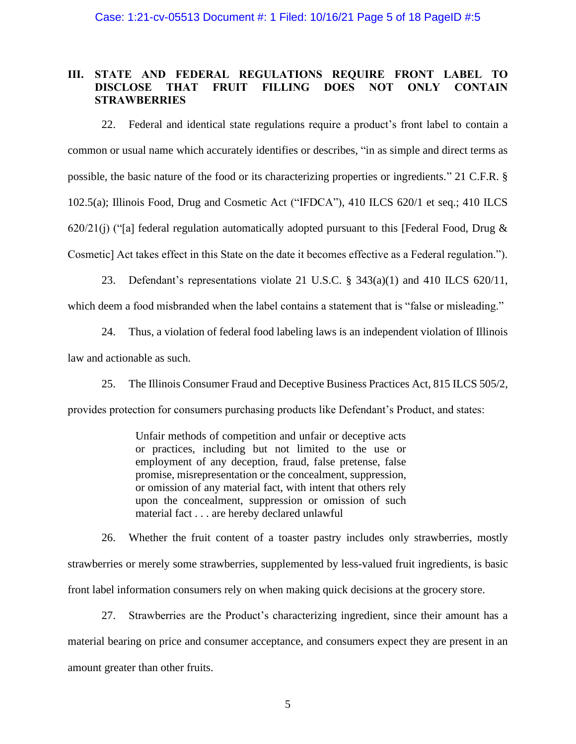# **III. STATE AND FEDERAL REGULATIONS REQUIRE FRONT LABEL TO DISCLOSE THAT FRUIT FILLING DOES NOT ONLY CONTAIN STRAWBERRIES**

22. Federal and identical state regulations require a product's front label to contain a common or usual name which accurately identifies or describes, "in as simple and direct terms as possible, the basic nature of the food or its characterizing properties or ingredients." 21 C.F.R. § 102.5(a); Illinois Food, Drug and Cosmetic Act ("IFDCA"), 410 ILCS 620/1 et seq.; 410 ILCS 620/21(j) ("[a] federal regulation automatically adopted pursuant to this [Federal Food, Drug  $\&$ Cosmetic] Act takes effect in this State on the date it becomes effective as a Federal regulation.").

23. Defendant's representations violate 21 U.S.C. § 343(a)(1) and 410 ILCS 620/11,

which deem a food misbranded when the label contains a statement that is "false or misleading."

24. Thus, a violation of federal food labeling laws is an independent violation of Illinois law and actionable as such.

25. The Illinois Consumer Fraud and Deceptive Business Practices Act, 815 ILCS 505/2,

provides protection for consumers purchasing products like Defendant's Product, and states:

Unfair methods of competition and unfair or deceptive acts or practices, including but not limited to the use or employment of any deception, fraud, false pretense, false promise, misrepresentation or the concealment, suppression, or omission of any material fact, with intent that others rely upon the concealment, suppression or omission of such material fact . . . are hereby declared unlawful

26. Whether the fruit content of a toaster pastry includes only strawberries, mostly strawberries or merely some strawberries, supplemented by less-valued fruit ingredients, is basic front label information consumers rely on when making quick decisions at the grocery store.

27. Strawberries are the Product's characterizing ingredient, since their amount has a material bearing on price and consumer acceptance, and consumers expect they are present in an amount greater than other fruits.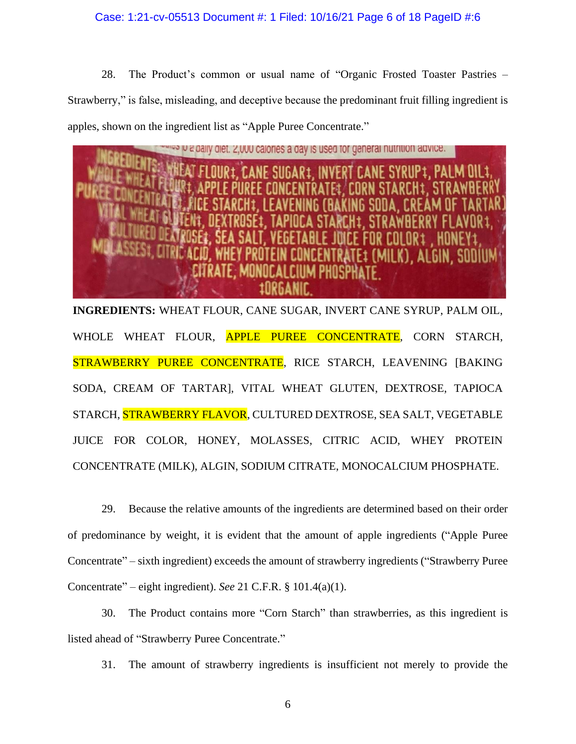# Case: 1:21-cv-05513 Document #: 1 Filed: 10/16/21 Page 6 of 18 PageID #:6

28. The Product's common or usual name of "Organic Frosted Toaster Pastries – Strawberry," is false, misleading, and deceptive because the predominant fruit filling ingredient is apples, shown on the ingredient list as "Apple Puree Concentrate."



**INGREDIENTS:** WHEAT FLOUR, CANE SUGAR, INVERT CANE SYRUP, PALM OIL, WHOLE WHEAT FLOUR, APPLE PUREE CONCENTRATE, CORN STARCH, STRAWBERRY PUREE CONCENTRATE, RICE STARCH, LEAVENING [BAKING SODA, CREAM OF TARTAR], VITAL WHEAT GLUTEN, DEXTROSE, TAPIOCA STARCH, STRAWBERRY FLAVOR, CULTURED DEXTROSE, SEA SALT, VEGETABLE JUICE FOR COLOR, HONEY, MOLASSES, CITRIC ACID, WHEY PROTEIN CONCENTRATE (MILK), ALGIN, SODIUM CITRATE, MONOCALCIUM PHOSPHATE.

29. Because the relative amounts of the ingredients are determined based on their order of predominance by weight, it is evident that the amount of apple ingredients ("Apple Puree Concentrate" – sixth ingredient) exceeds the amount of strawberry ingredients ("Strawberry Puree Concentrate" – eight ingredient). *See* 21 C.F.R. § 101.4(a)(1).

30. The Product contains more "Corn Starch" than strawberries, as this ingredient is listed ahead of "Strawberry Puree Concentrate."

31. The amount of strawberry ingredients is insufficient not merely to provide the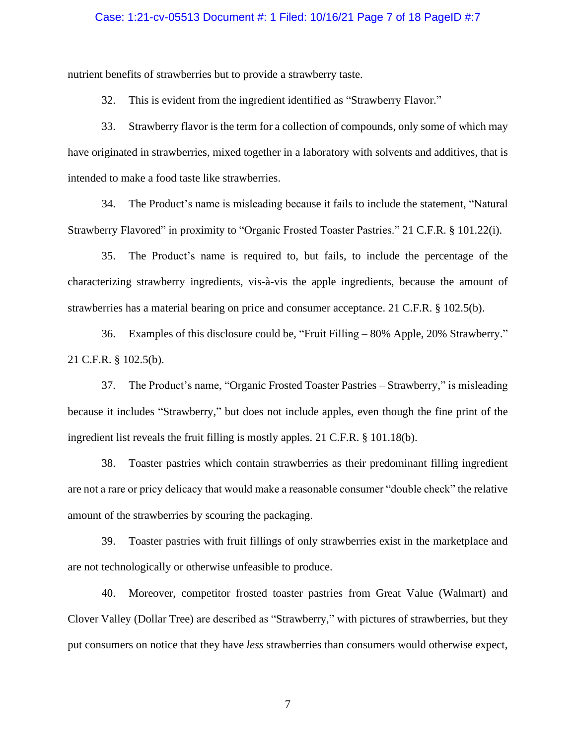## Case: 1:21-cv-05513 Document #: 1 Filed: 10/16/21 Page 7 of 18 PageID #:7

nutrient benefits of strawberries but to provide a strawberry taste.

32. This is evident from the ingredient identified as "Strawberry Flavor."

33. Strawberry flavor is the term for a collection of compounds, only some of which may have originated in strawberries, mixed together in a laboratory with solvents and additives, that is intended to make a food taste like strawberries.

34. The Product's name is misleading because it fails to include the statement, "Natural Strawberry Flavored" in proximity to "Organic Frosted Toaster Pastries." 21 C.F.R. § 101.22(i).

35. The Product's name is required to, but fails, to include the percentage of the characterizing strawberry ingredients, vis-à-vis the apple ingredients, because the amount of strawberries has a material bearing on price and consumer acceptance. 21 C.F.R. § 102.5(b).

36. Examples of this disclosure could be, "Fruit Filling – 80% Apple, 20% Strawberry." 21 C.F.R. § 102.5(b).

37. The Product's name, "Organic Frosted Toaster Pastries – Strawberry," is misleading because it includes "Strawberry," but does not include apples, even though the fine print of the ingredient list reveals the fruit filling is mostly apples. 21 C.F.R. § 101.18(b).

38. Toaster pastries which contain strawberries as their predominant filling ingredient are not a rare or pricy delicacy that would make a reasonable consumer "double check" the relative amount of the strawberries by scouring the packaging.

39. Toaster pastries with fruit fillings of only strawberries exist in the marketplace and are not technologically or otherwise unfeasible to produce.

40. Moreover, competitor frosted toaster pastries from Great Value (Walmart) and Clover Valley (Dollar Tree) are described as "Strawberry," with pictures of strawberries, but they put consumers on notice that they have *less* strawberries than consumers would otherwise expect,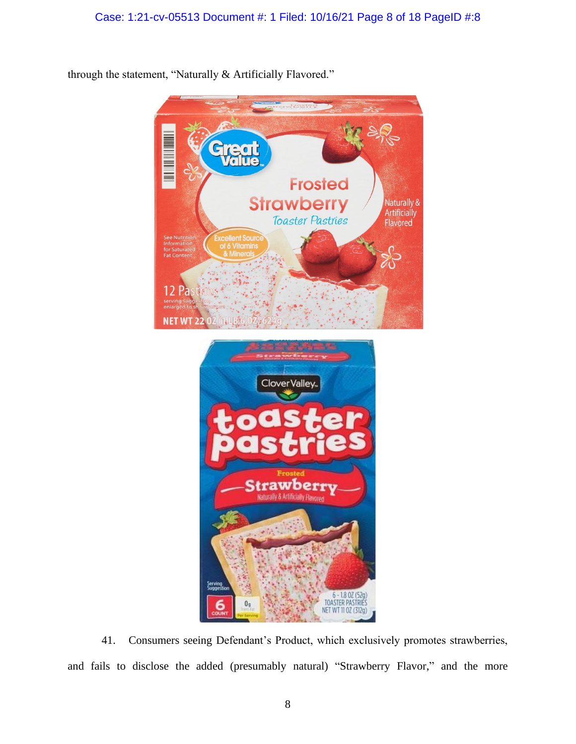

through the statement, "Naturally & Artificially Flavored."

41. Consumers seeing Defendant's Product, which exclusively promotes strawberries, and fails to disclose the added (presumably natural) "Strawberry Flavor," and the more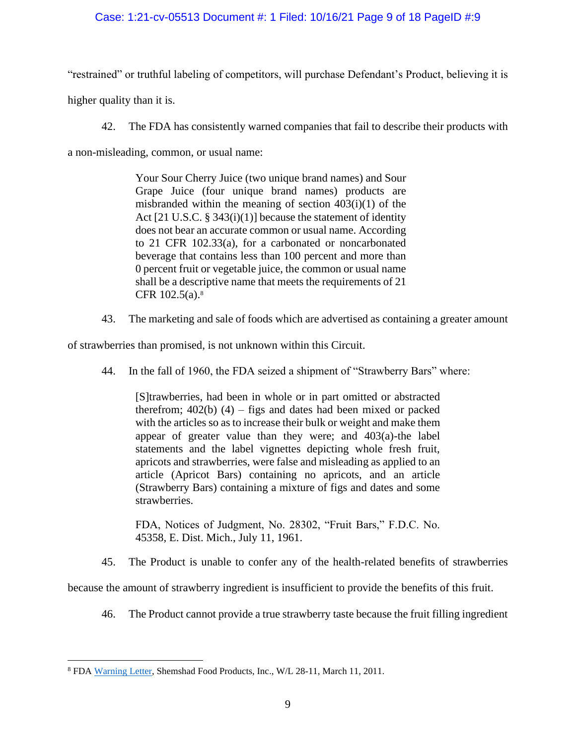# Case: 1:21-cv-05513 Document #: 1 Filed: 10/16/21 Page 9 of 18 PageID #:9

"restrained" or truthful labeling of competitors, will purchase Defendant's Product, believing it is

higher quality than it is.

42. The FDA has consistently warned companies that fail to describe their products with

a non-misleading, common, or usual name:

Your Sour Cherry Juice (two unique brand names) and Sour Grape Juice (four unique brand names) products are misbranded within the meaning of section  $403(i)(1)$  of the Act [21 U.S.C. § 343(i)(1)] because the statement of identity does not bear an accurate common or usual name. According to 21 CFR 102.33(a), for a carbonated or noncarbonated beverage that contains less than 100 percent and more than 0 percent fruit or vegetable juice, the common or usual name shall be a descriptive name that meets the requirements of 21 CFR 102.5(a). 8

43. The marketing and sale of foods which are advertised as containing a greater amount

of strawberries than promised, is not unknown within this Circuit.

44. In the fall of 1960, the FDA seized a shipment of "Strawberry Bars" where:

[S]trawberries, had been in whole or in part omitted or abstracted therefrom;  $402(b)$  (4) – figs and dates had been mixed or packed with the articles so as to increase their bulk or weight and make them appear of greater value than they were; and 403(a)-the label statements and the label vignettes depicting whole fresh fruit, apricots and strawberries, were false and misleading as applied to an article (Apricot Bars) containing no apricots, and an article (Strawberry Bars) containing a mixture of figs and dates and some strawberries.

FDA, Notices of Judgment, No. 28302, "Fruit Bars," F.D.C. No. 45358, E. Dist. Mich., July 11, 1961.

45. The Product is unable to confer any of the health-related benefits of strawberries

because the amount of strawberry ingredient is insufficient to provide the benefits of this fruit.

46. The Product cannot provide a true strawberry taste because the fruit filling ingredient

<sup>8</sup> FDA Warning Letter, Shemshad Food Products, Inc., W/L 28-11, March 11, 2011.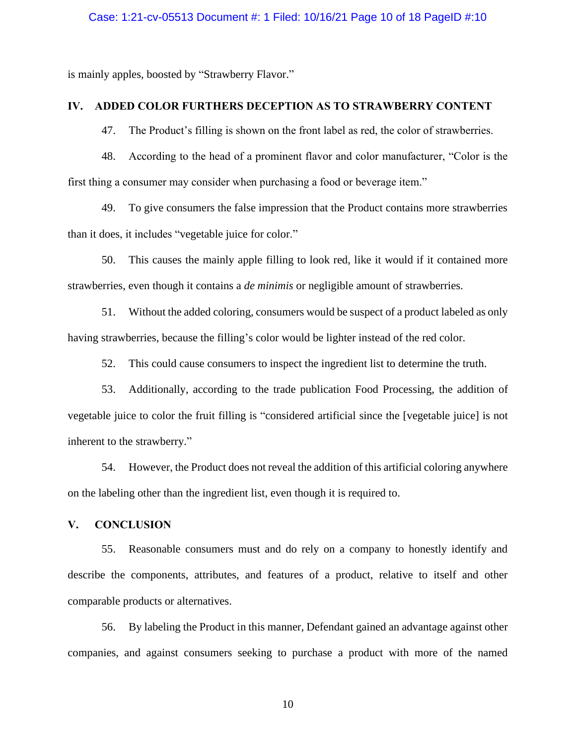## Case: 1:21-cv-05513 Document #: 1 Filed: 10/16/21 Page 10 of 18 PageID #:10

is mainly apples, boosted by "Strawberry Flavor."

# **IV. ADDED COLOR FURTHERS DECEPTION AS TO STRAWBERRY CONTENT**

47. The Product's filling is shown on the front label as red, the color of strawberries.

48. According to the head of a prominent flavor and color manufacturer, "Color is the first thing a consumer may consider when purchasing a food or beverage item."

49. To give consumers the false impression that the Product contains more strawberries than it does, it includes "vegetable juice for color."

50. This causes the mainly apple filling to look red, like it would if it contained more strawberries, even though it contains a *de minimis* or negligible amount of strawberries.

51. Without the added coloring, consumers would be suspect of a product labeled as only having strawberries, because the filling's color would be lighter instead of the red color.

52. This could cause consumers to inspect the ingredient list to determine the truth.

53. Additionally, according to the trade publication Food Processing, the addition of vegetable juice to color the fruit filling is "considered artificial since the [vegetable juice] is not inherent to the strawberry."

54. However, the Product does not reveal the addition of this artificial coloring anywhere on the labeling other than the ingredient list, even though it is required to.

## **V. CONCLUSION**

55. Reasonable consumers must and do rely on a company to honestly identify and describe the components, attributes, and features of a product, relative to itself and other comparable products or alternatives.

56. By labeling the Product in this manner, Defendant gained an advantage against other companies, and against consumers seeking to purchase a product with more of the named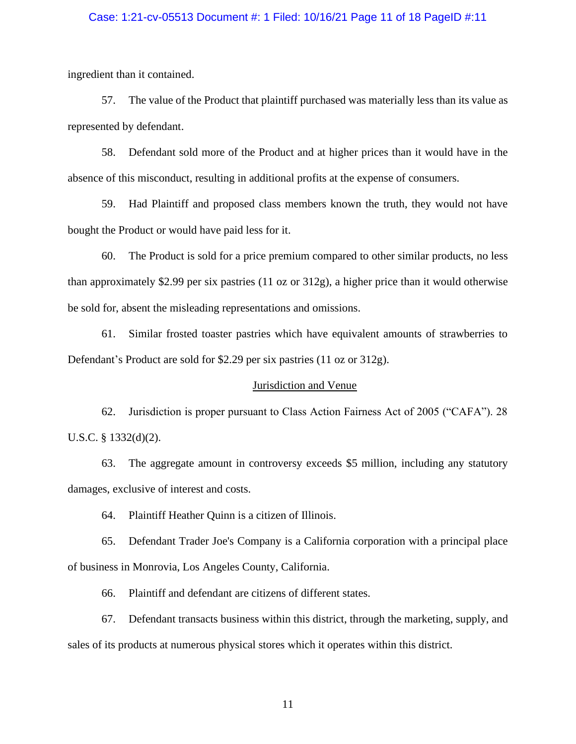# Case: 1:21-cv-05513 Document #: 1 Filed: 10/16/21 Page 11 of 18 PageID #:11

ingredient than it contained.

57. The value of the Product that plaintiff purchased was materially less than its value as represented by defendant.

58. Defendant sold more of the Product and at higher prices than it would have in the absence of this misconduct, resulting in additional profits at the expense of consumers.

59. Had Plaintiff and proposed class members known the truth, they would not have bought the Product or would have paid less for it.

60. The Product is sold for a price premium compared to other similar products, no less than approximately \$2.99 per six pastries (11 oz or 312g), a higher price than it would otherwise be sold for, absent the misleading representations and omissions.

61. Similar frosted toaster pastries which have equivalent amounts of strawberries to Defendant's Product are sold for \$2.29 per six pastries (11 oz or 312g).

## Jurisdiction and Venue

62. Jurisdiction is proper pursuant to Class Action Fairness Act of 2005 ("CAFA"). 28 U.S.C. § 1332(d)(2).

63. The aggregate amount in controversy exceeds \$5 million, including any statutory damages, exclusive of interest and costs.

64. Plaintiff Heather Quinn is a citizen of Illinois.

65. Defendant Trader Joe's Company is a California corporation with a principal place of business in Monrovia, Los Angeles County, California.

66. Plaintiff and defendant are citizens of different states.

67. Defendant transacts business within this district, through the marketing, supply, and sales of its products at numerous physical stores which it operates within this district.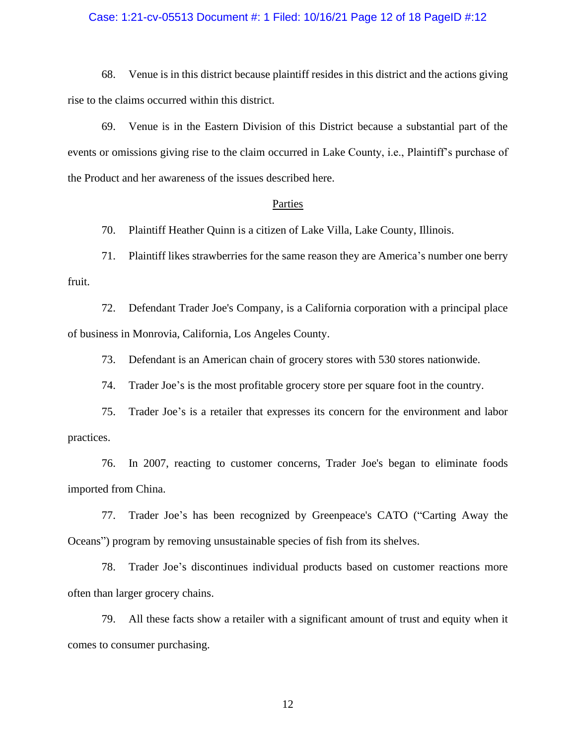# Case: 1:21-cv-05513 Document #: 1 Filed: 10/16/21 Page 12 of 18 PageID #:12

68. Venue is in this district because plaintiff resides in this district and the actions giving rise to the claims occurred within this district.

69. Venue is in the Eastern Division of this District because a substantial part of the events or omissions giving rise to the claim occurred in Lake County, i.e., Plaintiff's purchase of the Product and her awareness of the issues described here.

#### **Parties**

70. Plaintiff Heather Quinn is a citizen of Lake Villa, Lake County, Illinois.

71. Plaintiff likes strawberries for the same reason they are America's number one berry fruit.

72. Defendant Trader Joe's Company, is a California corporation with a principal place of business in Monrovia, California, Los Angeles County.

73. Defendant is an American chain of grocery stores with 530 stores nationwide.

74. Trader Joe's is the most profitable grocery store per square foot in the country.

75. Trader Joe's is a retailer that expresses its concern for the environment and labor practices.

76. In 2007, reacting to customer concerns, Trader Joe's began to eliminate foods imported from China.

77. Trader Joe's has been recognized by Greenpeace's CATO ("Carting Away the Oceans") program by removing unsustainable species of fish from its shelves.

78. Trader Joe's discontinues individual products based on customer reactions more often than larger grocery chains.

79. All these facts show a retailer with a significant amount of trust and equity when it comes to consumer purchasing.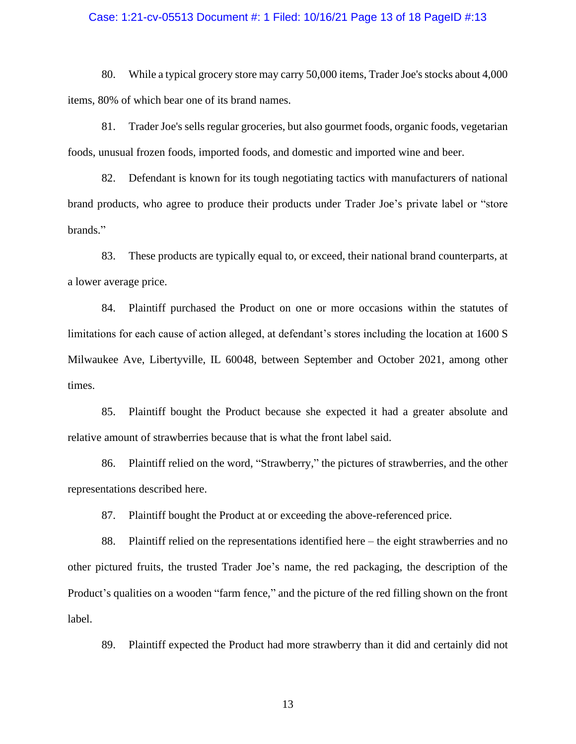## Case: 1:21-cv-05513 Document #: 1 Filed: 10/16/21 Page 13 of 18 PageID #:13

80. While a typical grocery store may carry 50,000 items, Trader Joe's stocks about 4,000 items, 80% of which bear one of its brand names.

81. Trader Joe's sells regular groceries, but also gourmet foods, organic foods, vegetarian foods, unusual frozen foods, imported foods, and domestic and imported wine and beer.

82. Defendant is known for its tough negotiating tactics with manufacturers of national brand products, who agree to produce their products under Trader Joe's private label or "store brands."

83. These products are typically equal to, or exceed, their national brand counterparts, at a lower average price.

84. Plaintiff purchased the Product on one or more occasions within the statutes of limitations for each cause of action alleged, at defendant's stores including the location at 1600 S Milwaukee Ave, Libertyville, IL 60048, between September and October 2021, among other times.

85. Plaintiff bought the Product because she expected it had a greater absolute and relative amount of strawberries because that is what the front label said.

86. Plaintiff relied on the word, "Strawberry," the pictures of strawberries, and the other representations described here.

87. Plaintiff bought the Product at or exceeding the above-referenced price.

88. Plaintiff relied on the representations identified here – the eight strawberries and no other pictured fruits, the trusted Trader Joe's name, the red packaging, the description of the Product's qualities on a wooden "farm fence," and the picture of the red filling shown on the front label.

89. Plaintiff expected the Product had more strawberry than it did and certainly did not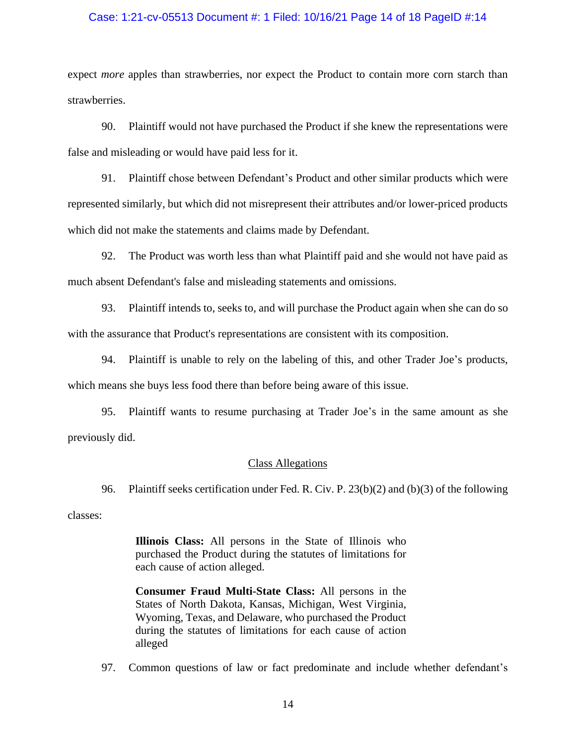# Case: 1:21-cv-05513 Document #: 1 Filed: 10/16/21 Page 14 of 18 PageID #:14

expect *more* apples than strawberries, nor expect the Product to contain more corn starch than strawberries.

90. Plaintiff would not have purchased the Product if she knew the representations were false and misleading or would have paid less for it.

91. Plaintiff chose between Defendant's Product and other similar products which were represented similarly, but which did not misrepresent their attributes and/or lower-priced products which did not make the statements and claims made by Defendant.

92. The Product was worth less than what Plaintiff paid and she would not have paid as much absent Defendant's false and misleading statements and omissions.

93. Plaintiff intends to, seeks to, and will purchase the Product again when she can do so with the assurance that Product's representations are consistent with its composition.

94. Plaintiff is unable to rely on the labeling of this, and other Trader Joe's products, which means she buys less food there than before being aware of this issue.

95. Plaintiff wants to resume purchasing at Trader Joe's in the same amount as she previously did.

# Class Allegations

96. Plaintiff seeks certification under Fed. R. Civ. P. 23(b)(2) and (b)(3) of the following

classes:

**Illinois Class:** All persons in the State of Illinois who purchased the Product during the statutes of limitations for each cause of action alleged.

**Consumer Fraud Multi-State Class:** All persons in the States of North Dakota, Kansas, Michigan, West Virginia, Wyoming, Texas, and Delaware, who purchased the Product during the statutes of limitations for each cause of action alleged

97. Common questions of law or fact predominate and include whether defendant's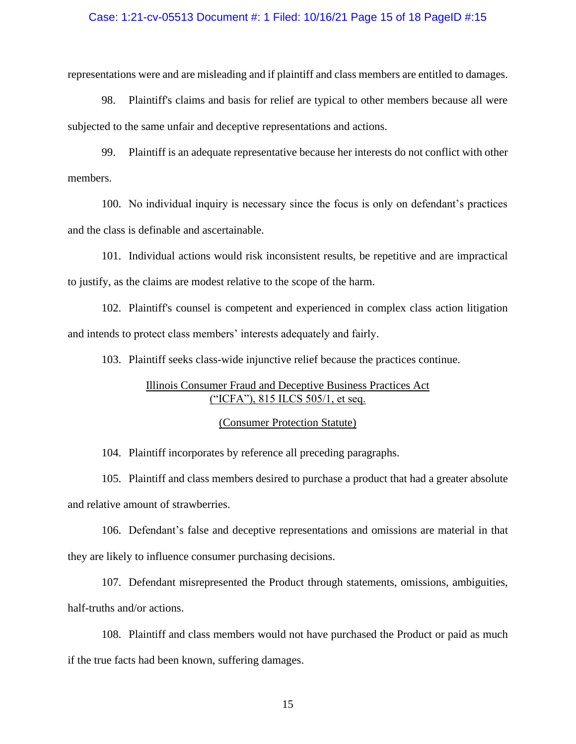# Case: 1:21-cv-05513 Document #: 1 Filed: 10/16/21 Page 15 of 18 PageID #:15

representations were and are misleading and if plaintiff and class members are entitled to damages.

98. Plaintiff's claims and basis for relief are typical to other members because all were subjected to the same unfair and deceptive representations and actions.

99. Plaintiff is an adequate representative because her interests do not conflict with other members.

100. No individual inquiry is necessary since the focus is only on defendant's practices and the class is definable and ascertainable.

101. Individual actions would risk inconsistent results, be repetitive and are impractical to justify, as the claims are modest relative to the scope of the harm.

102. Plaintiff's counsel is competent and experienced in complex class action litigation and intends to protect class members' interests adequately and fairly.

103. Plaintiff seeks class-wide injunctive relief because the practices continue.

# Illinois Consumer Fraud and Deceptive Business Practices Act ("ICFA"), 815 ILCS 505/1, et seq.

# (Consumer Protection Statute)

104. Plaintiff incorporates by reference all preceding paragraphs.

105. Plaintiff and class members desired to purchase a product that had a greater absolute and relative amount of strawberries.

106. Defendant's false and deceptive representations and omissions are material in that they are likely to influence consumer purchasing decisions.

107. Defendant misrepresented the Product through statements, omissions, ambiguities, half-truths and/or actions.

108. Plaintiff and class members would not have purchased the Product or paid as much if the true facts had been known, suffering damages.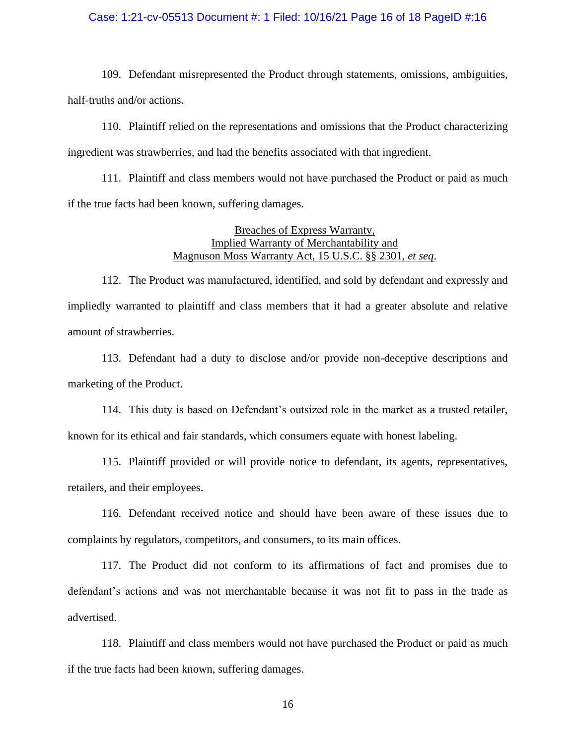# Case: 1:21-cv-05513 Document #: 1 Filed: 10/16/21 Page 16 of 18 PageID #:16

109. Defendant misrepresented the Product through statements, omissions, ambiguities, half-truths and/or actions.

110. Plaintiff relied on the representations and omissions that the Product characterizing ingredient was strawberries, and had the benefits associated with that ingredient.

111. Plaintiff and class members would not have purchased the Product or paid as much if the true facts had been known, suffering damages.

# Breaches of Express Warranty, Implied Warranty of Merchantability and Magnuson Moss Warranty Act, 15 U.S.C. §§ 2301, *et seq*.

112. The Product was manufactured, identified, and sold by defendant and expressly and impliedly warranted to plaintiff and class members that it had a greater absolute and relative amount of strawberries.

113. Defendant had a duty to disclose and/or provide non-deceptive descriptions and marketing of the Product.

114. This duty is based on Defendant's outsized role in the market as a trusted retailer, known for its ethical and fair standards, which consumers equate with honest labeling.

115. Plaintiff provided or will provide notice to defendant, its agents, representatives, retailers, and their employees.

116. Defendant received notice and should have been aware of these issues due to complaints by regulators, competitors, and consumers, to its main offices.

117. The Product did not conform to its affirmations of fact and promises due to defendant's actions and was not merchantable because it was not fit to pass in the trade as advertised.

118. Plaintiff and class members would not have purchased the Product or paid as much if the true facts had been known, suffering damages.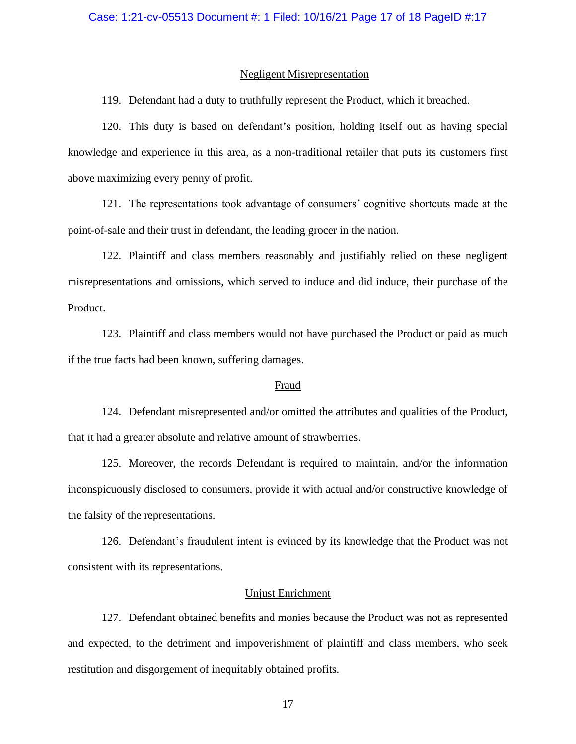#### Negligent Misrepresentation

119. Defendant had a duty to truthfully represent the Product, which it breached.

120. This duty is based on defendant's position, holding itself out as having special knowledge and experience in this area, as a non-traditional retailer that puts its customers first above maximizing every penny of profit.

121. The representations took advantage of consumers' cognitive shortcuts made at the point-of-sale and their trust in defendant, the leading grocer in the nation.

122. Plaintiff and class members reasonably and justifiably relied on these negligent misrepresentations and omissions, which served to induce and did induce, their purchase of the Product.

123. Plaintiff and class members would not have purchased the Product or paid as much if the true facts had been known, suffering damages.

## Fraud

124. Defendant misrepresented and/or omitted the attributes and qualities of the Product, that it had a greater absolute and relative amount of strawberries.

125. Moreover, the records Defendant is required to maintain, and/or the information inconspicuously disclosed to consumers, provide it with actual and/or constructive knowledge of the falsity of the representations.

126. Defendant's fraudulent intent is evinced by its knowledge that the Product was not consistent with its representations.

#### Unjust Enrichment

127. Defendant obtained benefits and monies because the Product was not as represented and expected, to the detriment and impoverishment of plaintiff and class members, who seek restitution and disgorgement of inequitably obtained profits.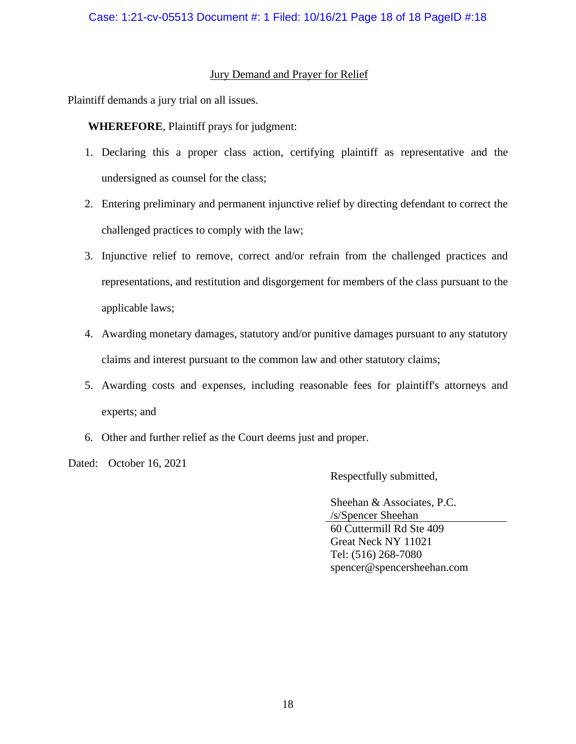# Jury Demand and Prayer for Relief

Plaintiff demands a jury trial on all issues.

**WHEREFORE**, Plaintiff prays for judgment:

- 1. Declaring this a proper class action, certifying plaintiff as representative and the undersigned as counsel for the class;
- 2. Entering preliminary and permanent injunctive relief by directing defendant to correct the challenged practices to comply with the law;
- 3. Injunctive relief to remove, correct and/or refrain from the challenged practices and representations, and restitution and disgorgement for members of the class pursuant to the applicable laws;
- 4. Awarding monetary damages, statutory and/or punitive damages pursuant to any statutory claims and interest pursuant to the common law and other statutory claims;
- 5. Awarding costs and expenses, including reasonable fees for plaintiff's attorneys and experts; and
- 6. Other and further relief as the Court deems just and proper.

Dated: October 16, 2021

Respectfully submitted,

Sheehan & Associates, P.C. /s/Spencer Sheehan 60 Cuttermill Rd Ste 409 Great Neck NY 11021 Tel: (516) 268-7080 spencer@spencersheehan.com